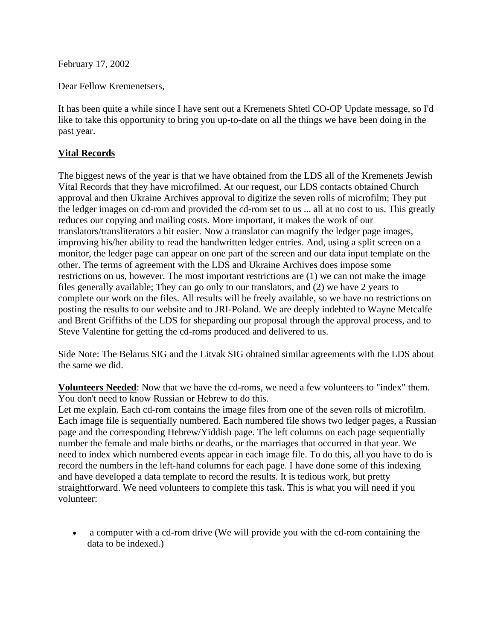February 17, 2002

Dear Fellow Kremenetsers,

It has been quite a while since I have sent out a Kremenets Shtetl CO-OP Update message, so I'd like to take this opportunity to bring you up-to-date on all the things we have been doing in the past year.

## **Vital Records**

The biggest news of the year is that we have obtained from the LDS all of the Kremenets Jewish Vital Records that they have microfilmed. At our request, our LDS contacts obtained Church approval and then Ukraine Archives approval to digitize the seven rolls of microfilm; They put the ledger images on cd-rom and provided the cd-rom set to us ... all at no cost to us. This greatly reduces our copying and mailing costs. More important, it makes the work of our translators/transliterators a bit easier. Now a translator can magnify the ledger page images, improving his/her ability to read the handwritten ledger entries. And, using a split screen on a monitor, the ledger page can appear on one part of the screen and our data input template on the other. The terms of agreement with the LDS and Ukraine Archives does impose some restrictions on us, however. The most important restrictions are (1) we can not make the image files generally available; They can go only to our translators, and (2) we have 2 years to complete our work on the files. All results will be freely available, so we have no restrictions on posting the results to our website and to JRI-Poland. We are deeply indebted to Wayne Metcalfe and Brent Griffiths of the LDS for sheparding our proposal through the approval process, and to Steve Valentine for getting the cd-roms produced and delivered to us.

Side Note: The Belarus SIG and the Litvak SIG obtained similar agreements with the LDS about the same we did.

**Volunteers Needed**: Now that we have the cd-roms, we need a few volunteers to "index" them. You don't need to know Russian or Hebrew to do this.

Let me explain. Each cd-rom contains the image files from one of the seven rolls of microfilm. Each image file is sequentially numbered. Each numbered file shows two ledger pages, a Russian page and the corresponding Hebrew/Yiddish page. The left columns on each page sequentially number the female and male births or deaths, or the marriages that occurred in that year. We need to index which numbered events appear in each image file. To do this, all you have to do is record the numbers in the left-hand columns for each page. I have done some of this indexing and have developed a data template to record the results. It is tedious work, but pretty straightforward. We need volunteers to complete this task. This is what you will need if you volunteer:

• a computer with a cd-rom drive (We will provide you with the cd-rom containing the data to be indexed.)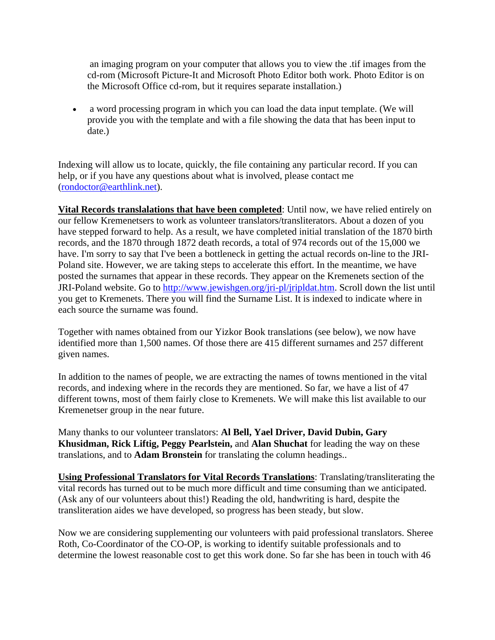an imaging program on your computer that allows you to view the .tif images from the cd-rom (Microsoft Picture-It and Microsoft Photo Editor both work. Photo Editor is on the Microsoft Office cd-rom, but it requires separate installation.)

• a word processing program in which you can load the data input template. (We will provide you with the template and with a file showing the data that has been input to date.)

Indexing will allow us to locate, quickly, the file containing any particular record. If you can help, or if you have any questions about what is involved, please contact me [\(rondoctor@earthlink.net\)](mailto:rondoctor@earthlink.net).

**Vital Records translalations that have been completed**: Until now, we have relied entirely on our fellow Kremenetsers to work as volunteer translators/transliterators. About a dozen of you have stepped forward to help. As a result, we have completed initial translation of the 1870 birth records, and the 1870 through 1872 death records, a total of 974 records out of the 15,000 we have. I'm sorry to say that I've been a bottleneck in getting the actual records on-line to the JRI-Poland site. However, we are taking steps to accelerate this effort. In the meantime, we have posted the surnames that appear in these records. They appear on the Kremenets section of the JRI-Poland website. Go to [http://www.jewishgen.org/jri-pl/jripldat.htm.](http://www.jewishgen.org/jri-pl/jripldat.htm) Scroll down the list until you get to Kremenets. There you will find the Surname List. It is indexed to indicate where in each source the surname was found.

Together with names obtained from our Yizkor Book translations (see below), we now have identified more than 1,500 names. Of those there are 415 different surnames and 257 different given names.

In addition to the names of people, we are extracting the names of towns mentioned in the vital records, and indexing where in the records they are mentioned. So far, we have a list of 47 different towns, most of them fairly close to Kremenets. We will make this list available to our Kremenetser group in the near future.

Many thanks to our volunteer translators: **Al Bell, Yael Driver, David Dubin, Gary Khusidman, Rick Liftig, Peggy Pearlstein,** and **Alan Shuchat** for leading the way on these translations, and to **Adam Bronstein** for translating the column headings..

**Using Professional Translators for Vital Records Translations**: Translating/transliterating the vital records has turned out to be much more difficult and time consuming than we anticipated. (Ask any of our volunteers about this!) Reading the old, handwriting is hard, despite the transliteration aides we have developed, so progress has been steady, but slow.

Now we are considering supplementing our volunteers with paid professional translators. Sheree Roth, Co-Coordinator of the CO-OP, is working to identify suitable professionals and to determine the lowest reasonable cost to get this work done. So far she has been in touch with 46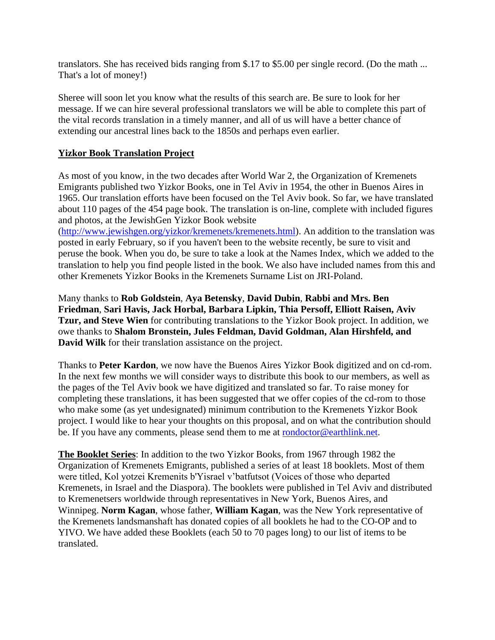translators. She has received bids ranging from \$.17 to \$5.00 per single record. (Do the math ... That's a lot of money!)

Sheree will soon let you know what the results of this search are. Be sure to look for her message. If we can hire several professional translators we will be able to complete this part of the vital records translation in a timely manner, and all of us will have a better chance of extending our ancestral lines back to the 1850s and perhaps even earlier.

## **Yizkor Book Translation Project**

As most of you know, in the two decades after World War 2, the Organization of Kremenets Emigrants published two Yizkor Books, one in Tel Aviv in 1954, the other in Buenos Aires in 1965. Our translation efforts have been focused on the Tel Aviv book. So far, we have translated about 110 pages of the 454 page book. The translation is on-line, complete with included figures and photos, at the JewishGen Yizkor Book website

[\(http://www.jewishgen.org/yizkor/kremenets/kremenets.html\)](http://www.jewishgen.org/yizkor/kremenets/kremenets.html). An addition to the translation was posted in early February, so if you haven't been to the website recently, be sure to visit and peruse the book. When you do, be sure to take a look at the Names Index, which we added to the translation to help you find people listed in the book. We also have included names from this and other Kremenets Yizkor Books in the Kremenets Surname List on JRI-Poland.

Many thanks to **Rob Goldstein**, **Aya Betensky**, **David Dubin**, **Rabbi and Mrs. Ben Friedman**, **Sari Havis, Jack Horbal, Barbara Lipkin, Thia Persoff, Elliott Raisen, Aviv Tzur, and Steve Wien** for contributing translations to the Yizkor Book project. In addition, we owe thanks to **Shalom Bronstein, Jules Feldman, David Goldman, Alan Hirshfeld, and David Wilk** for their translation assistance on the project.

Thanks to **Peter Kardon**, we now have the Buenos Aires Yizkor Book digitized and on cd-rom. In the next few months we will consider ways to distribute this book to our members, as well as the pages of the Tel Aviv book we have digitized and translated so far. To raise money for completing these translations, it has been suggested that we offer copies of the cd-rom to those who make some (as yet undesignated) minimum contribution to the Kremenets Yizkor Book project. I would like to hear your thoughts on this proposal, and on what the contribution should be. If you have any comments, please send them to me at [rondoctor@earthlink.net.](mailto:rondoctor@earthlink.net)

**The Booklet Series**: In addition to the two Yizkor Books, from 1967 through 1982 the Organization of Kremenets Emigrants, published a series of at least 18 booklets. Most of them were titled, Kol yotzei Kremenits b'Yisrael v'batfutsot (Voices of those who departed Kremenets, in Israel and the Diaspora). The booklets were published in Tel Aviv and distributed to Kremenetsers worldwide through representatives in New York, Buenos Aires, and Winnipeg. **Norm Kagan**, whose father, **William Kagan**, was the New York representative of the Kremenets landsmanshaft has donated copies of all booklets he had to the CO-OP and to YIVO. We have added these Booklets (each 50 to 70 pages long) to our list of items to be translated.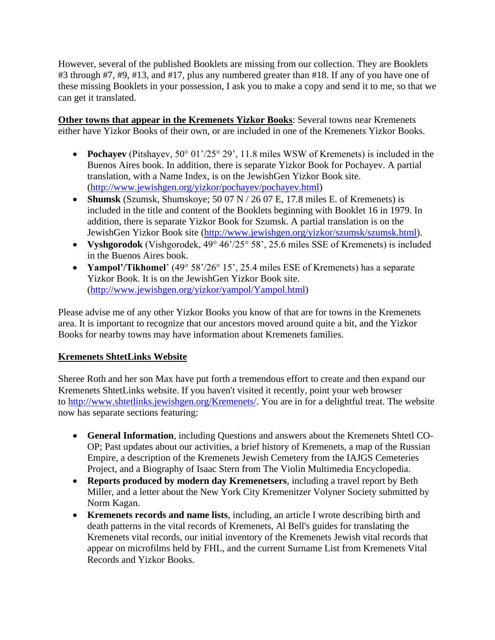However, several of the published Booklets are missing from our collection. They are Booklets #3 through #7, #9, #13, and #17, plus any numbered greater than #18. If any of you have one of these missing Booklets in your possession, I ask you to make a copy and send it to me, so that we can get it translated.

**Other towns that appear in the Kremenets Yizkor Books**: Several towns near Kremenets either have Yizkor Books of their own, or are included in one of the Kremenets Yizkor Books.

- **Pochayev** (Pitshayev, 50° 01'/25° 29', 11.8 miles WSW of Kremenets) is included in the Buenos Aires book. In addition, there is separate Yizkor Book for Pochayev. A partial translation, with a Name Index, is on the JewishGen Yizkor Book site. [\(http://www.jewishgen.org/yizkor/pochayev/pochayev.html\)](http://www.jewishgen.org/yizkor/pochayev/pochayev.html)
- **Shumsk** (Szumsk, Shumskoye; 50 07 N / 26 07 E, 17.8 miles E. of Kremenets) is included in the title and content of the Booklets beginning with Booklet 16 in 1979. In addition, there is separate Yizkor Book for Szumsk. A partial translation is on the JewishGen Yizkor Book site [\(http://www.jewishgen.org/yizkor/szumsk/szumsk.html\)](http://www.jewishgen.org/yizkor/szumsk/szumsk.html).
- **Vyshgorodok** (Vishgorodek, 49° 46'/25° 58', 25.6 miles SSE of Kremenets) is included in the Buenos Aires book.
- **Yampol'/Tikhomel**' (49° 58'/26° 15', 25.4 miles ESE of Kremenets) has a separate Yizkor Book. It is on the JewishGen Yizkor Book site. [\(http://www.jewishgen.org/yizkor/yampol/Yampol.html\)](http://www.jewishgen.org/yizkor/yampol/Yampol.html)

Please advise me of any other Yizkor Books you know of that are for towns in the Kremenets area. It is important to recognize that our ancestors moved around quite a bit, and the Yizkor Books for nearby towns may have information about Kremenets families.

## **Kremenets ShtetLinks Website**

Sheree Roth and her son Max have put forth a tremendous effort to create and then expand our Kremenets ShtetLinks website. If you haven't visited it recently, point your web browser to [http://www.shtetlinks.jewishgen.org/Kremenets/.](http://www.shtetlinks.jewishgen.org/Kremenets/) You are in for a delightful treat. The website now has separate sections featuring:

- **General Information**, including Questions and answers about the Kremenets Shtetl CO-OP; Past updates about our activities, a brief history of Kremenets, a map of the Russian Empire, a description of the Kremenets Jewish Cemetery from the IAJGS Cemeteries Project, and a Biography of Isaac Stern from The Violin Multimedia Encyclopedia.
- **Reports produced by modern day Kremenetsers**, including a travel report by Beth Miller, and a letter about the New York City Kremenitzer Volyner Society submitted by Norm Kagan.
- **Kremenets records and name lists**, including, an article I wrote describing birth and death patterns in the vital records of Kremenets, Al Bell's guides for translating the Kremenets vital records, our initial inventory of the Kremenets Jewish vital records that appear on microfilms held by FHL, and the current Surname List from Kremenets Vital Records and Yizkor Books.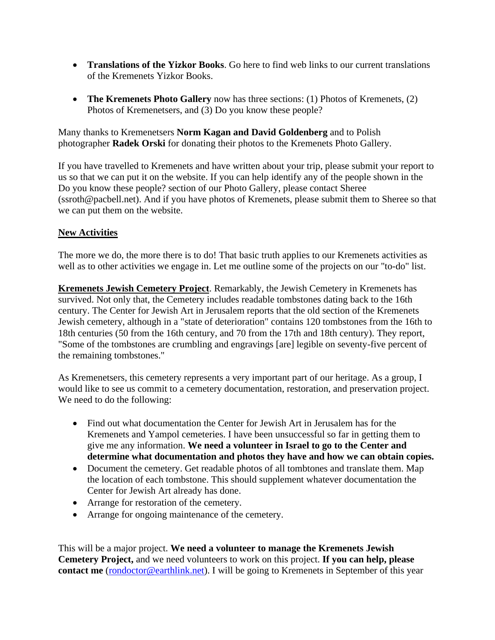- **Translations of the Yizkor Books**. Go here to find web links to our current translations of the Kremenets Yizkor Books.
- **The Kremenets Photo Gallery** now has three sections: (1) Photos of Kremenets, (2) Photos of Kremenetsers, and (3) Do you know these people?

Many thanks to Kremenetsers **Norm Kagan and David Goldenberg** and to Polish photographer **Radek Orski** for donating their photos to the Kremenets Photo Gallery.

If you have travelled to Kremenets and have written about your trip, please submit your report to us so that we can put it on the website. If you can help identify any of the people shown in the Do you know these people? section of our Photo Gallery, please contact Sheree (ssroth@pacbell.net). And if you have photos of Kremenets, please submit them to Sheree so that we can put them on the website.

## **New Activities**

The more we do, the more there is to do! That basic truth applies to our Kremenets activities as well as to other activities we engage in. Let me outline some of the projects on our "to-do" list.

**Kremenets Jewish Cemetery Project**. Remarkably, the Jewish Cemetery in Kremenets has survived. Not only that, the Cemetery includes readable tombstones dating back to the 16th century. The Center for Jewish Art in Jerusalem reports that the old section of the Kremenets Jewish cemetery, although in a "state of deterioration" contains 120 tombstones from the 16th to 18th centuries (50 from the 16th century, and 70 from the 17th and 18th century). They report, "Some of the tombstones are crumbling and engravings [are] legible on seventy-five percent of the remaining tombstones."

As Kremenetsers, this cemetery represents a very important part of our heritage. As a group, I would like to see us commit to a cemetery documentation, restoration, and preservation project. We need to do the following:

- Find out what documentation the Center for Jewish Art in Jerusalem has for the Kremenets and Yampol cemeteries. I have been unsuccessful so far in getting them to give me any information. **We need a volunteer in Israel to go to the Center and determine what documentation and photos they have and how we can obtain copies.**
- Document the cemetery. Get readable photos of all tombtones and translate them. Map the location of each tombstone. This should supplement whatever documentation the Center for Jewish Art already has done.
- Arrange for restoration of the cemetery.
- Arrange for ongoing maintenance of the cemetery.

This will be a major project. **We need a volunteer to manage the Kremenets Jewish Cemetery Project,** and we need volunteers to work on this project. **If you can help, please contact me** [\(rondoctor@earthlink.net\)](mailto:rondoctor@earthlink.net). I will be going to Kremenets in September of this year